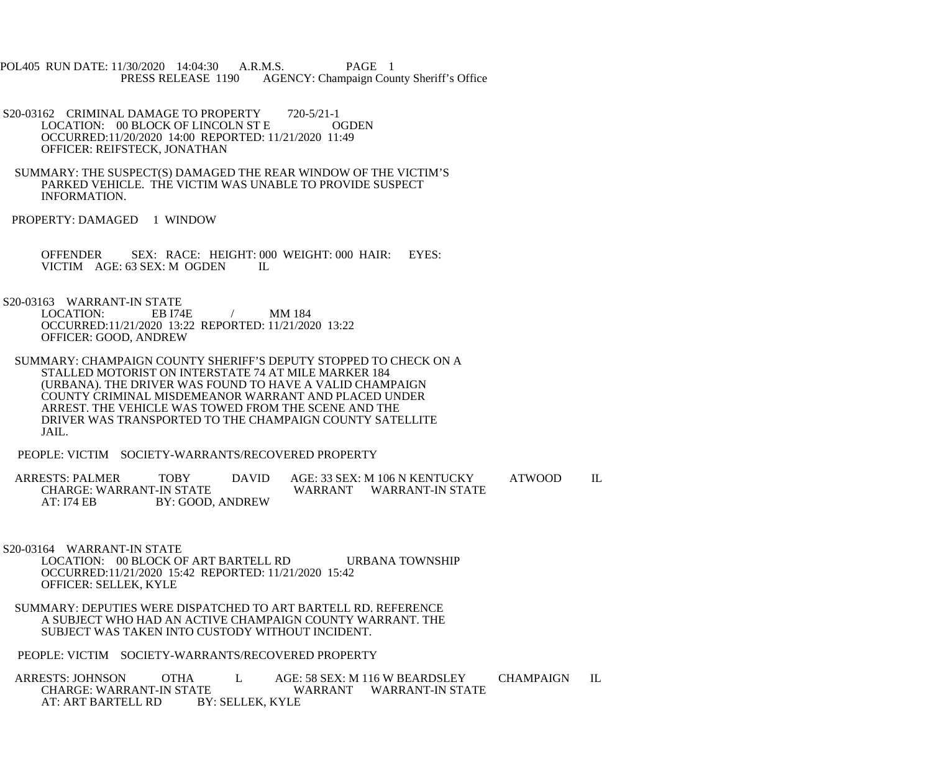POL405 RUN DATE: 11/30/2020 14:04:30 A.R.M.S. PAGE 1<br>PRESS RELEASE 1190 AGENCY: Champaign Cou AGENCY: Champaign County Sheriff's Office

- S20-03162 CRIMINAL DAMAGE TO PROPERTY 720-5/21-1<br>LOCATION: 00 BLOCK OF LINCOLN ST E COGDEN LOCATION: 00 BLOCK OF LINCOLN ST E OCCURRED:11/20/2020 14:00 REPORTED: 11/21/2020 11:49 OFFICER: REIFSTECK, JONATHAN
- SUMMARY: THE SUSPECT(S) DAMAGED THE REAR WINDOW OF THE VICTIM'S PARKED VEHICLE. THE VICTIM WAS UNABLE TO PROVIDE SUSPECT INFORMATION.
- PROPERTY: DAMAGED 1 WINDOW

 OFFENDER SEX: RACE: HEIGHT: 000 WEIGHT: 000 HAIR: EYES: VICTIM AGE: 63 SEX: M OGDEN IL

S20-03163 WARRANT-IN STATE

LOCATION: EB I74E / MM 184 OCCURRED:11/21/2020 13:22 REPORTED: 11/21/2020 13:22 OFFICER: GOOD, ANDREW

 SUMMARY: CHAMPAIGN COUNTY SHERIFF'S DEPUTY STOPPED TO CHECK ON A STALLED MOTORIST ON INTERSTATE 74 AT MILE MARKER 184 (URBANA). THE DRIVER WAS FOUND TO HAVE A VALID CHAMPAIGN COUNTY CRIMINAL MISDEMEANOR WARRANT AND PLACED UNDER ARREST. THE VEHICLE WAS TOWED FROM THE SCENE AND THE DRIVER WAS TRANSPORTED TO THE CHAMPAIGN COUNTY SATELLITE JAIL.

PEOPLE: VICTIM SOCIETY-WARRANTS/RECOVERED PROPERTY

ARRESTS: PALMER TOBY DAVID AGE: 33 SEX: M 106 N KENTUCKY ATWOOD IL CHARGE: WARRANT-IN STATE CHARGE: WARRANT-IN STATE WARRANT WARRANT-IN STATE<br>AT: I74 EB BY: GOOD, ANDREW BY: GOOD, ANDREW

 S20-03164 WARRANT-IN STATE LOCATION: 00 BLOCK OF ART BARTELL RD URBANA TOWNSHIP OCCURRED:11/21/2020 15:42 REPORTED: 11/21/2020 15:42 OFFICER: SELLEK, KYLE

 SUMMARY: DEPUTIES WERE DISPATCHED TO ART BARTELL RD. REFERENCE A SUBJECT WHO HAD AN ACTIVE CHAMPAIGN COUNTY WARRANT. THE SUBJECT WAS TAKEN INTO CUSTODY WITHOUT INCIDENT.

PEOPLE: VICTIM SOCIETY-WARRANTS/RECOVERED PROPERTY

ARRESTS: JOHNSON OTHA L AGE: 58 SEX: M 116 W BEARDSLEY CHAMPAIGN IL CHARGE: WARRANT-IN STATE TE WARRANT WARRANT-IN STATE<br>BY: SELLEK. KYLE AT: ART BARTELL RD